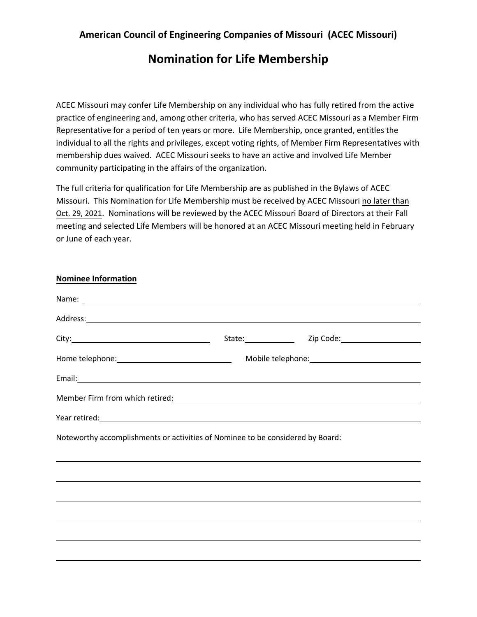## **American Council of Engineering Companies of Missouri (ACEC Missouri)**

## **Nomination for Life Membership**

ACEC Missouri may confer Life Membership on any individual who has fully retired from the active practice of engineering and, among other criteria, who has served ACEC Missouri as a Member Firm Representative for a period of ten years or more. Life Membership, once granted, entitles the individual to all the rights and privileges, except voting rights, of Member Firm Representatives with membership dues waived. ACEC Missouri seeks to have an active and involved Life Member community participating in the affairs of the organization.

The full criteria for qualification for Life Membership are as published in the Bylaws of ACEC Missouri. This Nomination for Life Membership must be received by ACEC Missouri no later than Oct. 29, 2021. Nominations will be reviewed by the ACEC Missouri Board of Directors at their Fall meeting and selected Life Members will be honored at an ACEC Missouri meeting held in February or June of each year.

**Nominee Information**

| Address: Andreas Address: Address: Address: Address: Address: Address: Address: Address: Address: Address: Address: Address: Address: Address: Address: Address: Address: Address: Address: Address: Address: Address: Address       |                            |  |
|--------------------------------------------------------------------------------------------------------------------------------------------------------------------------------------------------------------------------------------|----------------------------|--|
|                                                                                                                                                                                                                                      | State: Zip Code: Zip Code: |  |
|                                                                                                                                                                                                                                      |                            |  |
| Email: <u>contract and contract and contract and contract and contract and contract and contract and contract and contract and contract and contract and contract and contract and contract and contract and contract and contra</u> |                            |  |
|                                                                                                                                                                                                                                      |                            |  |
| Year retired: <u>contract and a set of the set of the set of the set of the set of the set of the set of the set of the set of the set of the set of the set of the set of the set of the set of the set of the set of the set o</u> |                            |  |
| Noteworthy accomplishments or activities of Nominee to be considered by Board:                                                                                                                                                       |                            |  |
|                                                                                                                                                                                                                                      |                            |  |
|                                                                                                                                                                                                                                      |                            |  |
| ,我们也不会有什么?""我们的人,我们也不会有什么?""我们的人,我们也不会有什么?""我们的人,我们也不会有什么?""我们的人,我们也不会有什么?""我们的人                                                                                                                                                     |                            |  |
|                                                                                                                                                                                                                                      |                            |  |
|                                                                                                                                                                                                                                      |                            |  |
|                                                                                                                                                                                                                                      |                            |  |